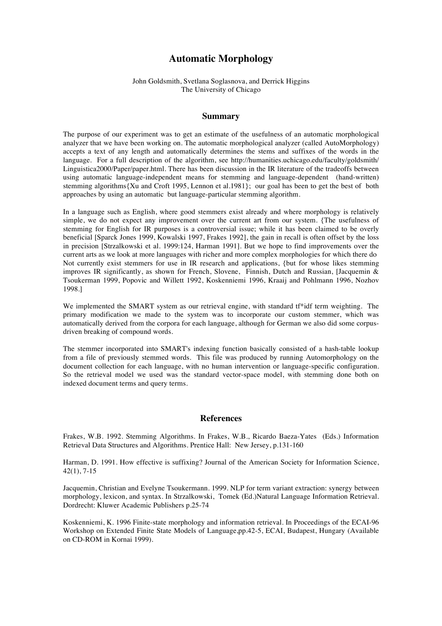## **Automatic Morphology**

## John Goldsmith, Svetlana Soglasnova, and Derrick Higgins The University of Chicago

## **Summary**

The purpose of our experiment was to get an estimate of the usefulness of an automatic morphological analyzer that we have been working on. The automatic morphological analyzer (called AutoMorphology) accepts a text of any length and automatically determines the stems and suffixes of the words in the language. For a full description of the algorithm, see http://humanities.uchicago.edu/faculty/goldsmith/ Linguistica2000/Paper/paper.html. There has been discussion in the IR literature of the tradeoffs between using automatic language-independent means for stemming and language-dependent (hand-written) stemming algorithms{Xu and Croft 1995, Lennon et al.1981}; our goal has been to get the best of both approaches by using an automatic but language-particular stemming algorithm.

In a language such as English, where good stemmers exist already and where morphology is relatively simple, we do not expect any improvement over the current art from our system. {The usefulness of stemming for English for IR purposes is a controversial issue; while it has been claimed to be overly beneficial [Sparck Jones 1999, Kowalski 1997, Frakes 1992], the gain in recall is often offset by the loss in precision [Strzalkowski et al. 1999:124, Harman 1991]. But we hope to find improvements over the current arts as we look at more languages with richer and more complex morphologies for which there do Not currently exist stemmers for use in IR research and applications, {but for whose likes stemming improves IR significantly, as shown for French, Slovene, Finnish, Dutch and Russian, [Jacquemin  $\&$ Tsoukerman 1999, Popovic and Willett 1992, Koskenniemi 1996, Kraaij and Pohlmann 1996, Nozhov 1998.]

We implemented the SMART system as our retrieval engine, with standard t<sup>\*\*</sup>idf term weighting. The primary modification we made to the system was to incorporate our custom stemmer, which was automatically derived from the corpora for each language, although for German we also did some corpusdriven breaking of compound words.

The stemmer incorporated into SMART's indexing function basically consisted of a hash-table lookup from a file of previously stemmed words. This file was produced by running Automorphology on the document collection for each language, with no human intervention or language-specific configuration. So the retrieval model we used was the standard vector-space model, with stemming done both on indexed document terms and query terms.

## **References**

Frakes, W.B. 1992. Stemming Algorithms. In Frakes, W.B., Ricardo Baeza-Yates (Eds.) Information Retrieval Data Structures and Algorithms. Prentice Hall: New Jersey, p.131-160

Harman, D. 1991. How effective is suffixing? Journal of the American Society for Information Science, 42(1), 7-15

Jacquemin, Christian and Evelyne Tsoukermann. 1999. NLP for term variant extraction: synergy between morphology, lexicon, and syntax. In Strzalkowski, Tomek (Ed.)Natural Language Information Retrieval. Dordrecht: Kluwer Academic Publishers p.25-74

Koskenniemi, K. 1996 Finite-state morphology and information retrieval. In Proceedings of the ECAI-96 Workshop on Extended Finite State Models of Language,pp.42-5, ECAI, Budapest, Hungary (Available on CD-ROM in Kornai 1999).